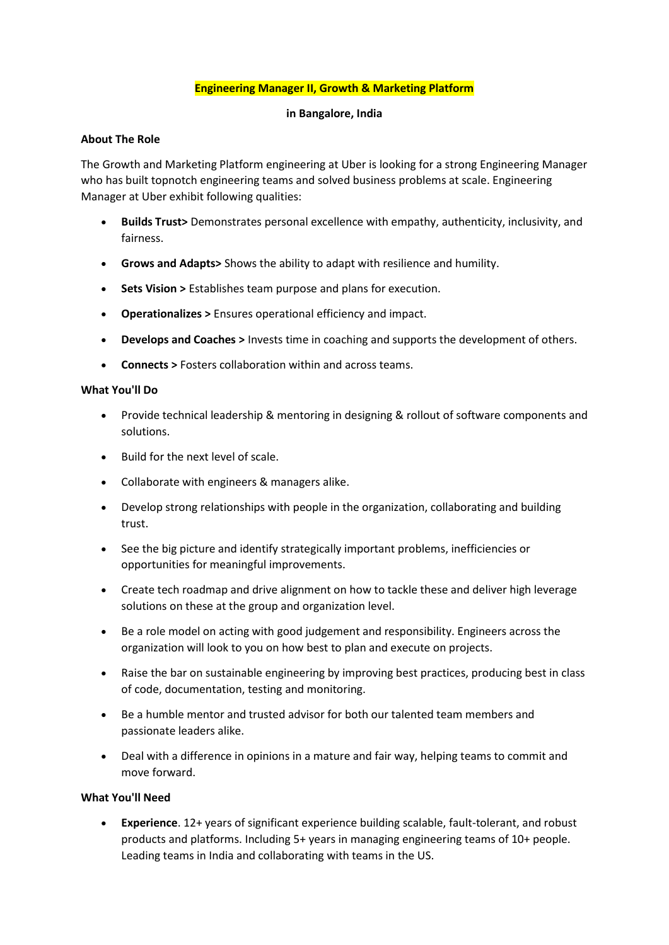## **Engineering Manager II, Growth & Marketing Platform**

## **in Bangalore, India**

## **About The Role**

The Growth and Marketing Platform engineering at Uber is looking for a strong Engineering Manager who has built topnotch engineering teams and solved business problems at scale. Engineering Manager at Uber exhibit following qualities:

- **Builds Trust>** Demonstrates personal excellence with empathy, authenticity, inclusivity, and fairness.
- **Grows and Adapts>** Shows the ability to adapt with resilience and humility.
- **Sets Vision >** Establishes team purpose and plans for execution.
- **Operationalizes >** Ensures operational efficiency and impact.
- **Develops and Coaches >** Invests time in coaching and supports the development of others.
- **Connects >** Fosters collaboration within and across teams.

## **What You'll Do**

- Provide technical leadership & mentoring in designing & rollout of software components and solutions.
- Build for the next level of scale.
- Collaborate with engineers & managers alike.
- Develop strong relationships with people in the organization, collaborating and building trust.
- See the big picture and identify strategically important problems, inefficiencies or opportunities for meaningful improvements.
- Create tech roadmap and drive alignment on how to tackle these and deliver high leverage solutions on these at the group and organization level.
- Be a role model on acting with good judgement and responsibility. Engineers across the organization will look to you on how best to plan and execute on projects.
- Raise the bar on sustainable engineering by improving best practices, producing best in class of code, documentation, testing and monitoring.
- Be a humble mentor and trusted advisor for both our talented team members and passionate leaders alike.
- Deal with a difference in opinions in a mature and fair way, helping teams to commit and move forward.

# **What You'll Need**

• **Experience**. 12+ years of significant experience building scalable, fault-tolerant, and robust products and platforms. Including 5+ years in managing engineering teams of 10+ people. Leading teams in India and collaborating with teams in the US.